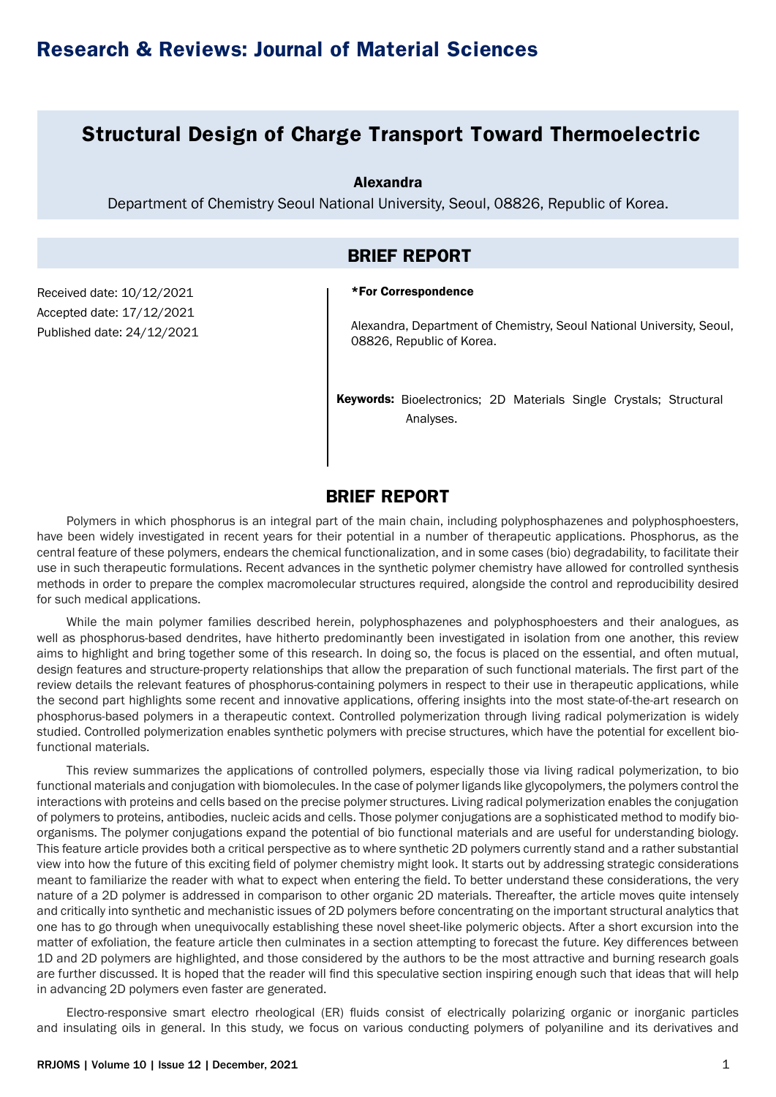## **Structural Design of Charge Transport Toward Thermoelectric**

Alexandra

Department of Chemistry Seoul National University, Seoul, 08826, Republic of Korea.

### **BRIEF REPORT**

#### \*For Correspondence

Received date: 10/12/2021 Accepted date: 17/12/2021 Published date: 24/12/2021

Alexandra, Department of Chemistry, Seoul National University, Seoul, 08826, Republic of Korea.

Keywords: Bioelectronics; 2D Materials Single Crystals; Structural Analyses.

## **BRIEF REPORT**

Polymers in which phosphorus is an integral part of the main chain, including polyphosphazenes and polyphosphoesters, have been widely investigated in recent years for their potential in a number of therapeutic applications. Phosphorus, as the central feature of these polymers, endears the chemical functionalization, and in some cases (bio) degradability, to facilitate their use in such therapeutic formulations. Recent advances in the synthetic polymer chemistry have allowed for controlled synthesis methods in order to prepare the complex macromolecular structures required, alongside the control and reproducibility desired for such medical applications.

While the main polymer families described herein, polyphosphazenes and polyphosphoesters and their analogues, as well as phosphorus-based dendrites, have hitherto predominantly been investigated in isolation from one another, this review aims to highlight and bring together some of this research. In doing so, the focus is placed on the essential, and often mutual, design features and structure-property relationships that allow the preparation of such functional materials. The first part of the review details the relevant features of phosphorus-containing polymers in respect to their use in therapeutic applications, while the second part highlights some recent and innovative applications, offering insights into the most state-of-the-art research on phosphorus-based polymers in a therapeutic context. Controlled polymerization through living radical polymerization is widely studied. Controlled polymerization enables synthetic polymers with precise structures, which have the potential for excellent biofunctional materials.

This review summarizes the applications of controlled polymers, especially those via living radical polymerization, to bio functional materials and conjugation with biomolecules. In the case of polymer ligands like glycopolymers, the polymers control the interactions with proteins and cells based on the precise polymer structures. Living radical polymerization enables the conjugation of polymers to proteins, antibodies, nucleic acids and cells. Those polymer conjugations are a sophisticated method to modify bioorganisms. The polymer conjugations expand the potential of bio functional materials and are useful for understanding biology. This feature article provides both a critical perspective as to where synthetic 2D polymers currently stand and a rather substantial view into how the future of this exciting field of polymer chemistry might look. It starts out by addressing strategic considerations meant to familiarize the reader with what to expect when entering the field. To better understand these considerations, the very nature of a 2D polymer is addressed in comparison to other organic 2D materials. Thereafter, the article moves quite intensely and critically into synthetic and mechanistic issues of 2D polymers before concentrating on the important structural analytics that one has to go through when unequivocally establishing these novel sheet-like polymeric objects. After a short excursion into the matter of exfoliation, the feature article then culminates in a section attempting to forecast the future. Key differences between 1D and 2D polymers are highlighted, and those considered by the authors to be the most attractive and burning research goals are further discussed. It is hoped that the reader will find this speculative section inspiring enough such that ideas that will help in advancing 2D polymers even faster are generated.

Electro-responsive smart electro rheological (ER) fluids consist of electrically polarizing organic or inorganic particles and insulating oils in general. In this study, we focus on various conducting polymers of polyaniline and its derivatives and